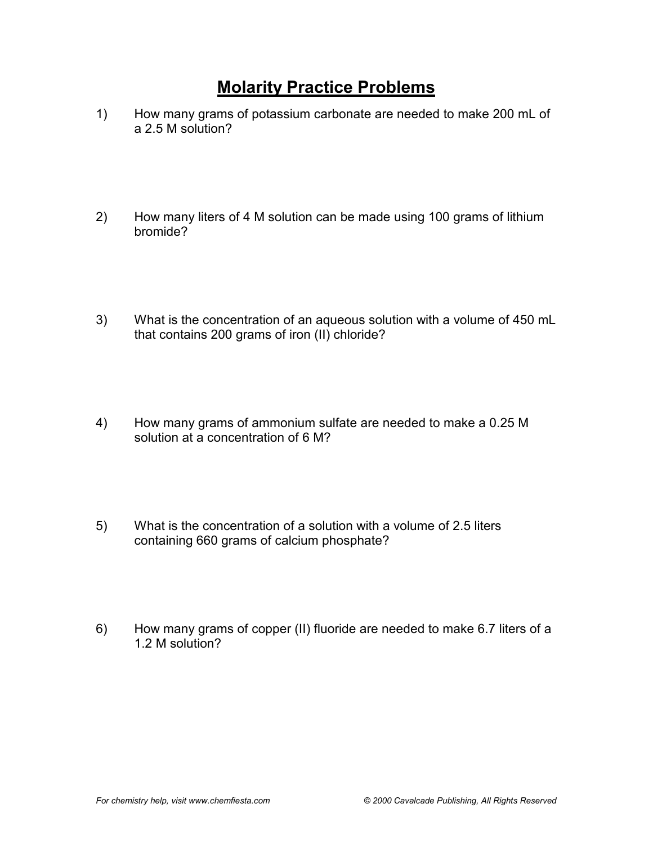## **Molarity Practice Problems**

- 1) How many grams of potassium carbonate are needed to make 200 mL of a 2.5 M solution?
- 2) How many liters of 4 M solution can be made using 100 grams of lithium bromide?
- 3) What is the concentration of an aqueous solution with a volume of 450 mL that contains 200 grams of iron (II) chloride?
- 4) How many grams of ammonium sulfate are needed to make a 0.25 M solution at a concentration of 6 M?
- 5) What is the concentration of a solution with a volume of 2.5 liters containing 660 grams of calcium phosphate?
- 6) How many grams of copper (II) fluoride are needed to make 6.7 liters of a 1.2 M solution?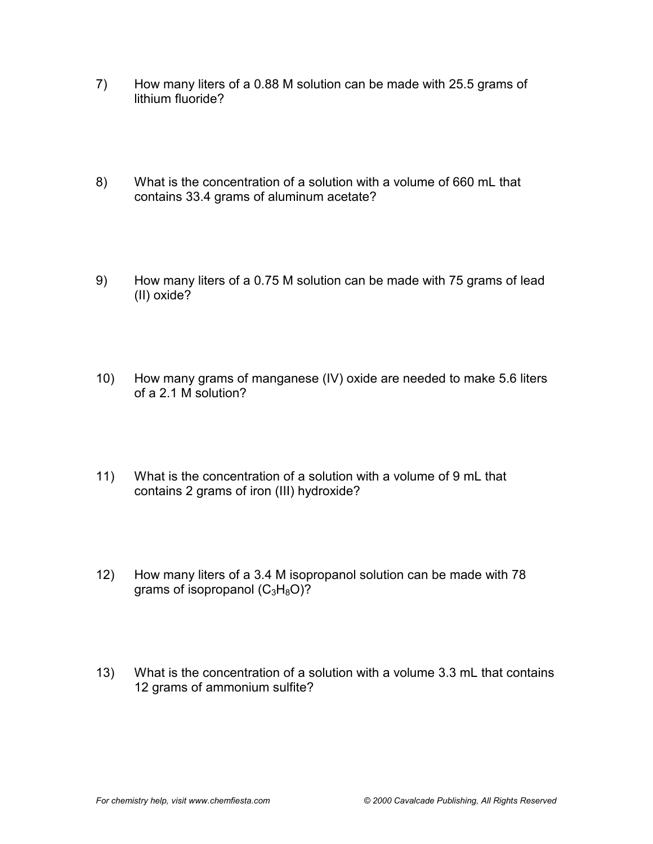- 7) How many liters of a 0.88 M solution can be made with 25.5 grams of lithium fluoride?
- 8) What is the concentration of a solution with a volume of 660 mL that contains 33.4 grams of aluminum acetate?
- 9) How many liters of a 0.75 M solution can be made with 75 grams of lead (II) oxide?
- 10) How many grams of manganese (IV) oxide are needed to make 5.6 liters of a 2.1 M solution?
- 11) What is the concentration of a solution with a volume of 9 mL that contains 2 grams of iron (III) hydroxide?
- 12) How many liters of a 3.4 M isopropanol solution can be made with 78 grams of isopropanol  $(C_3H_8O)$ ?
- 13) What is the concentration of a solution with a volume 3.3 mL that contains 12 grams of ammonium sulfite?